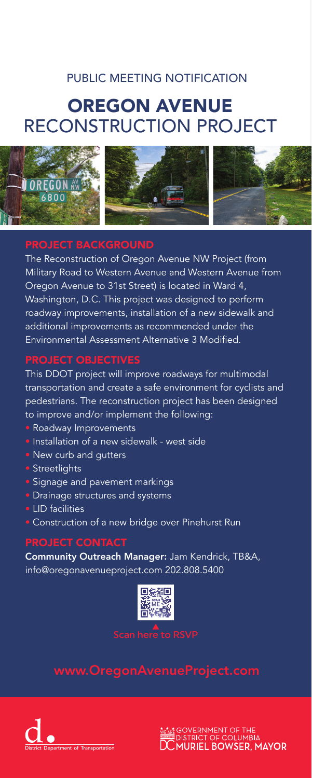## PUBLIC MEETING NOTIFICATION

# OREGON AVENUE RECONSTRUCTION PROJECT



## PROJECT BACKGROUND

The Reconstruction of Oregon Avenue NW Project (from Military Road to Western Avenue and Western Avenue from Oregon Avenue to 31st Street) is located in Ward 4, Washington, D.C. This project was designed to perform roadway improvements, installation of a new sidewalk and additional improvements as recommended under the Environmental Assessment Alternative 3 Modified.

## PROJECT OBJECTIVES

This DDOT project will improve roadways for multimodal transportation and create a safe environment for cyclists and pedestrians. The reconstruction project has been designed to improve and/or implement the following:

- Roadway Improvements
- Installation of a new sidewalk west side
- New curb and gutters
- Streetlights
- Signage and pavement markings
- Drainage structures and systems
- LID facilities
- Construction of a new bridge over Pinehurst Run

### PROJECT CONTACT

Community Outreach Manager: Jam Kendrick, TB&A, info@oregonavenueproject.com 202.808.5400



### Scan here to RSVP

## www.OregonAvenueProject.com